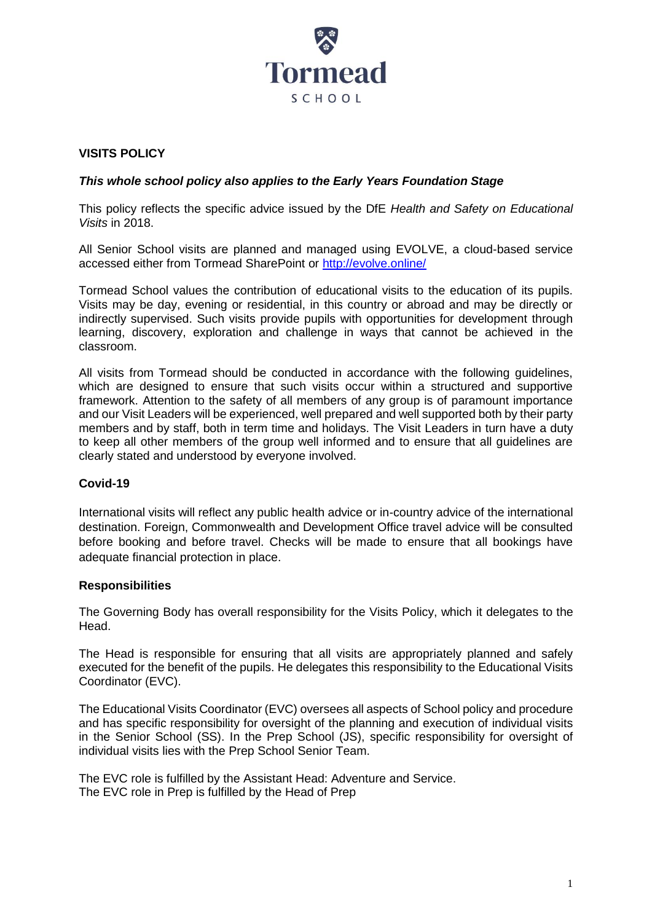

# **VISITS POLICY**

### *This whole school policy also applies to the Early Years Foundation Stage*

This policy reflects the specific advice issued by the DfE *Health and Safety on Educational Visits* in 2018.

All Senior School visits are planned and managed using EVOLVE, a cloud-based service accessed either from Tormead SharePoint or<http://evolve.online/>

Tormead School values the contribution of educational visits to the education of its pupils. Visits may be day, evening or residential, in this country or abroad and may be directly or indirectly supervised. Such visits provide pupils with opportunities for development through learning, discovery, exploration and challenge in ways that cannot be achieved in the classroom.

All visits from Tormead should be conducted in accordance with the following guidelines, which are designed to ensure that such visits occur within a structured and supportive framework. Attention to the safety of all members of any group is of paramount importance and our Visit Leaders will be experienced, well prepared and well supported both by their party members and by staff, both in term time and holidays. The Visit Leaders in turn have a duty to keep all other members of the group well informed and to ensure that all guidelines are clearly stated and understood by everyone involved.

### **Covid-19**

International visits will reflect any public health advice or in-country advice of the international destination. Foreign, Commonwealth and Development Office travel advice will be consulted before booking and before travel. Checks will be made to ensure that all bookings have adequate financial protection in place.

### **Responsibilities**

The Governing Body has overall responsibility for the Visits Policy, which it delegates to the Head.

The Head is responsible for ensuring that all visits are appropriately planned and safely executed for the benefit of the pupils. He delegates this responsibility to the Educational Visits Coordinator (EVC).

The Educational Visits Coordinator (EVC) oversees all aspects of School policy and procedure and has specific responsibility for oversight of the planning and execution of individual visits in the Senior School (SS). In the Prep School (JS), specific responsibility for oversight of individual visits lies with the Prep School Senior Team.

The EVC role is fulfilled by the Assistant Head: Adventure and Service. The EVC role in Prep is fulfilled by the Head of Prep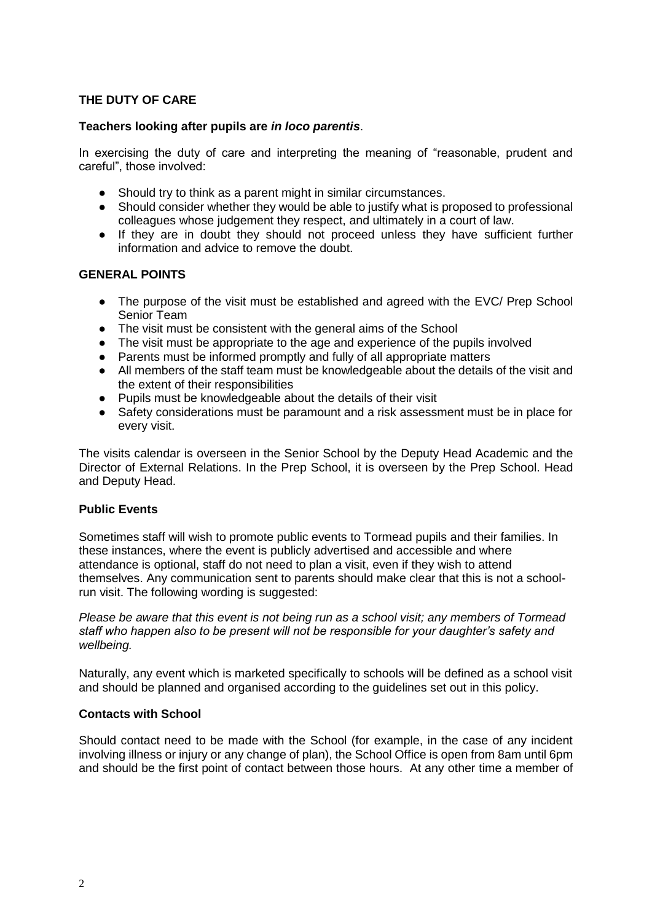# **THE DUTY OF CARE**

### **Teachers looking after pupils are** *in loco parentis*.

In exercising the duty of care and interpreting the meaning of "reasonable, prudent and careful", those involved:

- Should try to think as a parent might in similar circumstances.
- Should consider whether they would be able to justify what is proposed to professional colleagues whose judgement they respect, and ultimately in a court of law.
- If they are in doubt they should not proceed unless they have sufficient further information and advice to remove the doubt.

### **GENERAL POINTS**

- The purpose of the visit must be established and agreed with the EVC/ Prep School Senior Team
- The visit must be consistent with the general aims of the School
- The visit must be appropriate to the age and experience of the pupils involved
- Parents must be informed promptly and fully of all appropriate matters
- All members of the staff team must be knowledgeable about the details of the visit and the extent of their responsibilities
- Pupils must be knowledgeable about the details of their visit
- Safety considerations must be paramount and a risk assessment must be in place for every visit.

The visits calendar is overseen in the Senior School by the Deputy Head Academic and the Director of External Relations. In the Prep School, it is overseen by the Prep School. Head and Deputy Head.

#### **Public Events**

Sometimes staff will wish to promote public events to Tormead pupils and their families. In these instances, where the event is publicly advertised and accessible and where attendance is optional, staff do not need to plan a visit, even if they wish to attend themselves. Any communication sent to parents should make clear that this is not a schoolrun visit. The following wording is suggested:

*Please be aware that this event is not being run as a school visit; any members of Tormead staff who happen also to be present will not be responsible for your daughter's safety and wellbeing.* 

Naturally, any event which is marketed specifically to schools will be defined as a school visit and should be planned and organised according to the guidelines set out in this policy.

#### **Contacts with School**

Should contact need to be made with the School (for example, in the case of any incident involving illness or injury or any change of plan), the School Office is open from 8am until 6pm and should be the first point of contact between those hours. At any other time a member of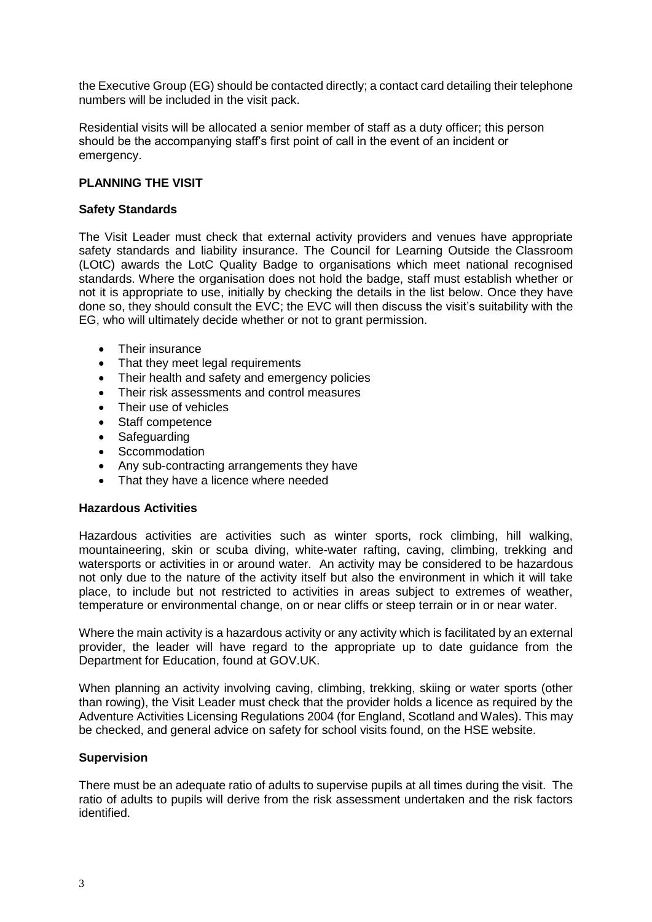the Executive Group (EG) should be contacted directly; a contact card detailing their telephone numbers will be included in the visit pack.

Residential visits will be allocated a senior member of staff as a duty officer; this person should be the accompanying staff's first point of call in the event of an incident or emergency.

## **PLANNING THE VISIT**

### **Safety Standards**

The Visit Leader must check that external activity providers and venues have appropriate safety standards and liability insurance. The Council for Learning Outside the Classroom (LOtC) awards the LotC Quality Badge to organisations which meet national recognised standards. Where the organisation does not hold the badge, staff must establish whether or not it is appropriate to use, initially by checking the details in the list below. Once they have done so, they should consult the EVC; the EVC will then discuss the visit's suitability with the EG, who will ultimately decide whether or not to grant permission.

- Their insurance
- That they meet legal requirements
- Their health and safety and emergency policies
- Their risk assessments and control measures
- Their use of vehicles
- Staff competence
- Safeguarding
- Sccommodation
- Any sub-contracting arrangements they have
- That they have a licence where needed

#### **Hazardous Activities**

Hazardous activities are activities such as winter sports, rock climbing, hill walking, mountaineering, skin or scuba diving, white-water rafting, caving, climbing, trekking and watersports or activities in or around water. An activity may be considered to be hazardous not only due to the nature of the activity itself but also the environment in which it will take place, to include but not restricted to activities in areas subject to extremes of weather, temperature or environmental change, on or near cliffs or steep terrain or in or near water.

Where the main activity is a hazardous activity or any activity which is facilitated by an external provider, the leader will have regard to the appropriate up to date guidance from the Department for Education, found at GOV.UK.

When planning an activity involving caving, climbing, trekking, skiing or water sports (other than rowing), the Visit Leader must check that the provider holds a licence as required by the Adventure Activities Licensing Regulations 2004 (for England, Scotland and Wales). This may be checked, and general advice on safety for school visits found, on the HSE website.

### **Supervision**

There must be an adequate ratio of adults to supervise pupils at all times during the visit. The ratio of adults to pupils will derive from the risk assessment undertaken and the risk factors identified.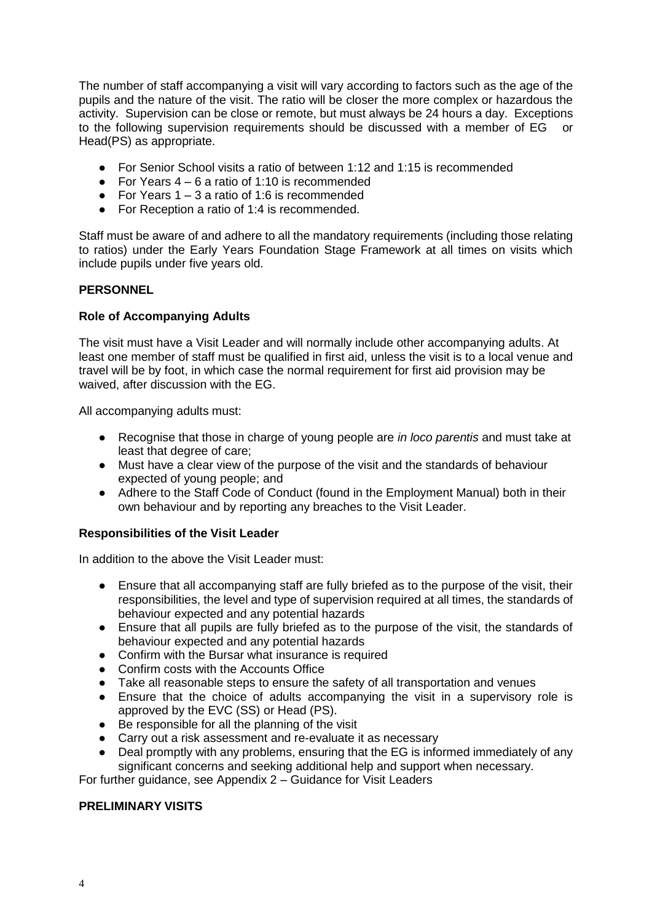The number of staff accompanying a visit will vary according to factors such as the age of the pupils and the nature of the visit. The ratio will be closer the more complex or hazardous the activity. Supervision can be close or remote, but must always be 24 hours a day. Exceptions to the following supervision requirements should be discussed with a member of EG or Head(PS) as appropriate.

- For Senior School visits a ratio of between 1:12 and 1:15 is recommended
- For Years  $4 6$  a ratio of 1:10 is recommended
- For Years  $1 3$  a ratio of 1:6 is recommended
- For Reception a ratio of 1:4 is recommended.

Staff must be aware of and adhere to all the mandatory requirements (including those relating to ratios) under the Early Years Foundation Stage Framework at all times on visits which include pupils under five years old.

### **PERSONNEL**

### **Role of Accompanying Adults**

The visit must have a Visit Leader and will normally include other accompanying adults. At least one member of staff must be qualified in first aid, unless the visit is to a local venue and travel will be by foot, in which case the normal requirement for first aid provision may be waived, after discussion with the EG.

All accompanying adults must:

- Recognise that those in charge of young people are *in loco parentis* and must take at least that degree of care;
- Must have a clear view of the purpose of the visit and the standards of behaviour expected of young people; and
- Adhere to the Staff Code of Conduct (found in the Employment Manual) both in their own behaviour and by reporting any breaches to the Visit Leader.

### **Responsibilities of the Visit Leader**

In addition to the above the Visit Leader must:

- Ensure that all accompanying staff are fully briefed as to the purpose of the visit, their responsibilities, the level and type of supervision required at all times, the standards of behaviour expected and any potential hazards
- Ensure that all pupils are fully briefed as to the purpose of the visit, the standards of behaviour expected and any potential hazards
- Confirm with the Bursar what insurance is required
- Confirm costs with the Accounts Office
- Take all reasonable steps to ensure the safety of all transportation and venues
- Ensure that the choice of adults accompanying the visit in a supervisory role is approved by the EVC (SS) or Head (PS).
- Be responsible for all the planning of the visit
- Carry out a risk assessment and re-evaluate it as necessary
- Deal promptly with any problems, ensuring that the EG is informed immediately of any significant concerns and seeking additional help and support when necessary.

For further guidance, see Appendix 2 – Guidance for Visit Leaders

### **PRELIMINARY VISITS**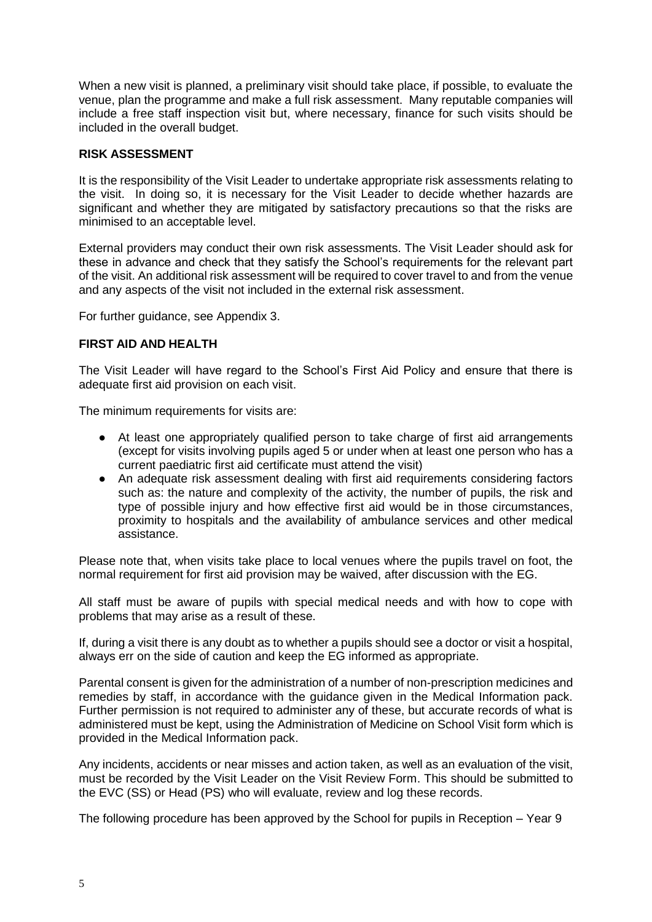When a new visit is planned, a preliminary visit should take place, if possible, to evaluate the venue, plan the programme and make a full risk assessment. Many reputable companies will include a free staff inspection visit but, where necessary, finance for such visits should be included in the overall budget.

## **RISK ASSESSMENT**

It is the responsibility of the Visit Leader to undertake appropriate risk assessments relating to the visit. In doing so, it is necessary for the Visit Leader to decide whether hazards are significant and whether they are mitigated by satisfactory precautions so that the risks are minimised to an acceptable level.

External providers may conduct their own risk assessments. The Visit Leader should ask for these in advance and check that they satisfy the School's requirements for the relevant part of the visit. An additional risk assessment will be required to cover travel to and from the venue and any aspects of the visit not included in the external risk assessment.

For further guidance, see Appendix 3.

### **FIRST AID AND HEALTH**

The Visit Leader will have regard to the School's First Aid Policy and ensure that there is adequate first aid provision on each visit.

The minimum requirements for visits are:

- At least one appropriately qualified person to take charge of first aid arrangements (except for visits involving pupils aged 5 or under when at least one person who has a current paediatric first aid certificate must attend the visit)
- An adequate risk assessment dealing with first aid requirements considering factors such as: the nature and complexity of the activity, the number of pupils, the risk and type of possible injury and how effective first aid would be in those circumstances, proximity to hospitals and the availability of ambulance services and other medical assistance.

Please note that, when visits take place to local venues where the pupils travel on foot, the normal requirement for first aid provision may be waived, after discussion with the EG.

All staff must be aware of pupils with special medical needs and with how to cope with problems that may arise as a result of these.

If, during a visit there is any doubt as to whether a pupils should see a doctor or visit a hospital, always err on the side of caution and keep the EG informed as appropriate.

Parental consent is given for the administration of a number of non-prescription medicines and remedies by staff, in accordance with the guidance given in the Medical Information pack. Further permission is not required to administer any of these, but accurate records of what is administered must be kept, using the Administration of Medicine on School Visit form which is provided in the Medical Information pack.

Any incidents, accidents or near misses and action taken, as well as an evaluation of the visit, must be recorded by the Visit Leader on the Visit Review Form. This should be submitted to the EVC (SS) or Head (PS) who will evaluate, review and log these records.

The following procedure has been approved by the School for pupils in Reception – Year 9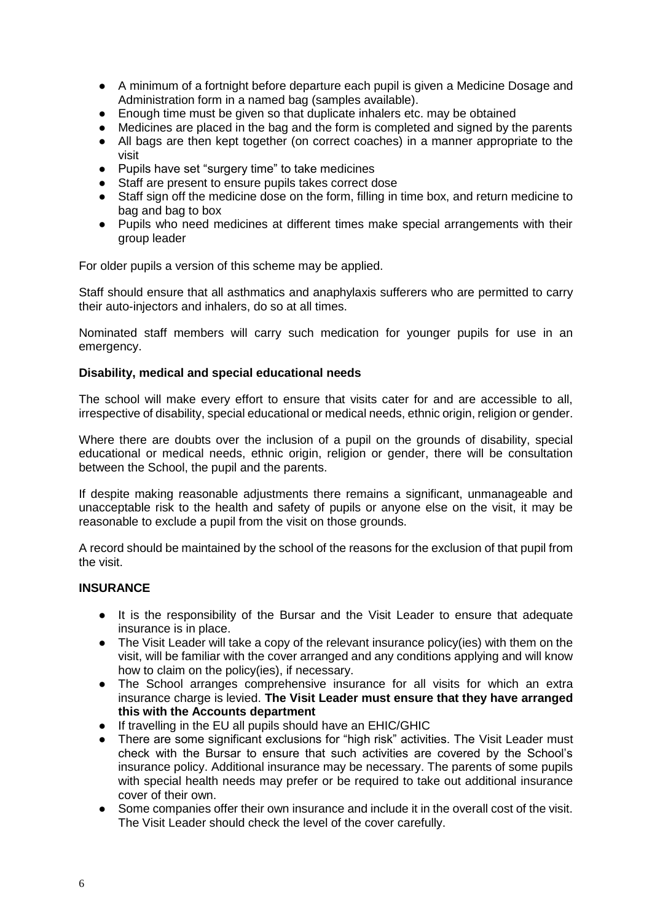- A minimum of a fortnight before departure each pupil is given a Medicine Dosage and Administration form in a named bag (samples available).
- Enough time must be given so that duplicate inhalers etc. may be obtained<br>● Medicines are placed in the bag and the form is completed and signed by the
- Medicines are placed in the bag and the form is completed and signed by the parents
- All bags are then kept together (on correct coaches) in a manner appropriate to the visit
- Pupils have set "surgery time" to take medicines
- Staff are present to ensure pupils takes correct dose
- Staff sign off the medicine dose on the form, filling in time box, and return medicine to bag and bag to box
- Pupils who need medicines at different times make special arrangements with their group leader

For older pupils a version of this scheme may be applied.

Staff should ensure that all asthmatics and anaphylaxis sufferers who are permitted to carry their auto-injectors and inhalers, do so at all times.

Nominated staff members will carry such medication for younger pupils for use in an emergency.

### **Disability, medical and special educational needs**

The school will make every effort to ensure that visits cater for and are accessible to all, irrespective of disability, special educational or medical needs, ethnic origin, religion or gender.

Where there are doubts over the inclusion of a pupil on the grounds of disability, special educational or medical needs, ethnic origin, religion or gender, there will be consultation between the School, the pupil and the parents.

If despite making reasonable adjustments there remains a significant, unmanageable and unacceptable risk to the health and safety of pupils or anyone else on the visit, it may be reasonable to exclude a pupil from the visit on those grounds.

A record should be maintained by the school of the reasons for the exclusion of that pupil from the visit.

### **INSURANCE**

- It is the responsibility of the Bursar and the Visit Leader to ensure that adequate insurance is in place.
- The Visit Leader will take a copy of the relevant insurance policy(ies) with them on the visit, will be familiar with the cover arranged and any conditions applying and will know how to claim on the policy(ies), if necessary.
- The School arranges comprehensive insurance for all visits for which an extra insurance charge is levied. **The Visit Leader must ensure that they have arranged this with the Accounts department**
- If travelling in the EU all pupils should have an EHIC/GHIC
- There are some significant exclusions for "high risk" activities. The Visit Leader must check with the Bursar to ensure that such activities are covered by the School's insurance policy. Additional insurance may be necessary. The parents of some pupils with special health needs may prefer or be required to take out additional insurance cover of their own.
- Some companies offer their own insurance and include it in the overall cost of the visit. The Visit Leader should check the level of the cover carefully.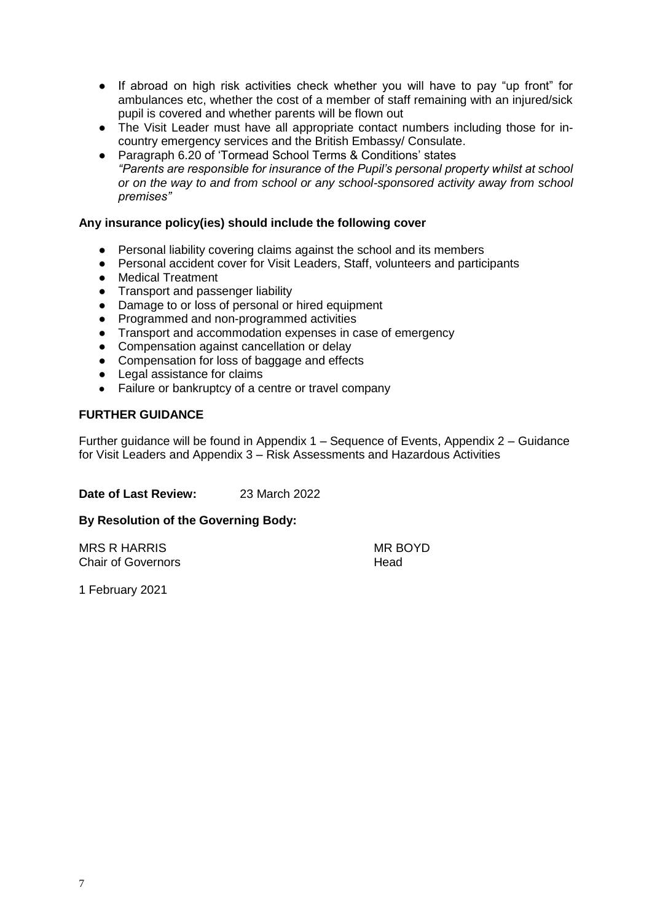- If abroad on high risk activities check whether you will have to pay "up front" for ambulances etc, whether the cost of a member of staff remaining with an injured/sick pupil is covered and whether parents will be flown out
- The Visit Leader must have all appropriate contact numbers including those for incountry emergency services and the British Embassy/ Consulate.
- Paragraph 6.20 of 'Tormead School Terms & Conditions' states *"Parents are responsible for insurance of the Pupil's personal property whilst at school or on the way to and from school or any school-sponsored activity away from school premises"*

### **Any insurance policy(ies) should include the following cover**

- Personal liability covering claims against the school and its members
- Personal accident cover for Visit Leaders, Staff, volunteers and participants
- Medical Treatment
- Transport and passenger liability
- Damage to or loss of personal or hired equipment
- Programmed and non-programmed activities
- Transport and accommodation expenses in case of emergency
- Compensation against cancellation or delay
- Compensation for loss of baggage and effects
- Legal assistance for claims
- Failure or bankruptcy of a centre or travel company

# **FURTHER GUIDANCE**

Further guidance will be found in Appendix 1 – Sequence of Events, Appendix 2 – Guidance for Visit Leaders and Appendix 3 – Risk Assessments and Hazardous Activities

**Date of Last Review:** 23 March 2022

### **By Resolution of the Governing Body:**

MRS R HARRIS MRS NOTES Chair of Governors **Head** 

1 February 2021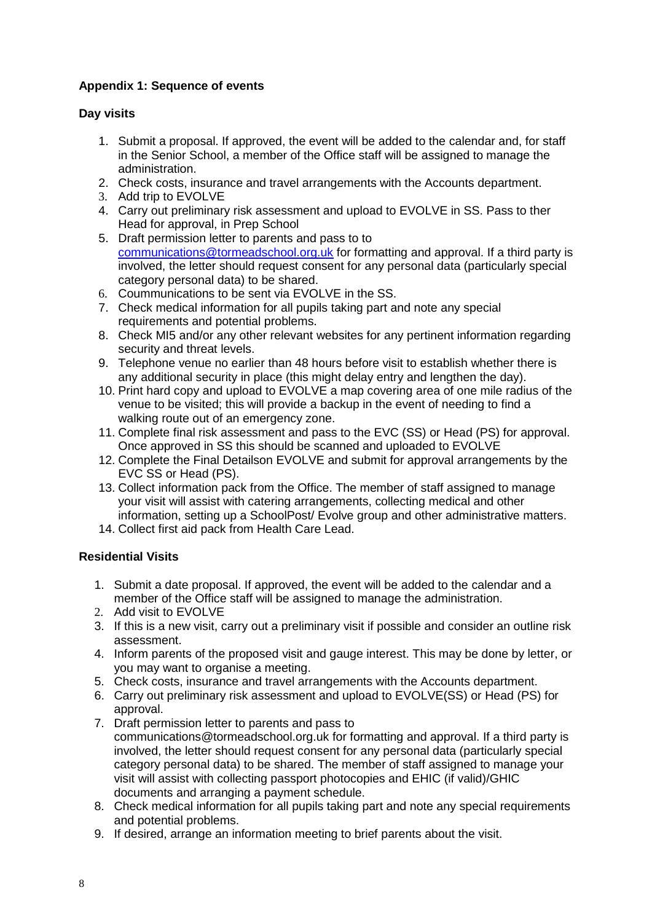# **Appendix 1: Sequence of events**

# **Day visits**

- 1. Submit a proposal. If approved, the event will be added to the calendar and, for staff in the Senior School, a member of the Office staff will be assigned to manage the administration.
- 2. Check costs, insurance and travel arrangements with the Accounts department.
- 3. Add trip to EVOLVE
- 4. Carry out preliminary risk assessment and upload to EVOLVE in SS. Pass to ther Head for approval, in Prep School
- 5. Draft permission letter to parents and pass to to [communications@tormeadschool.org.uk](mailto:communications@tormeadschool.org.uk) for formatting and approval. If a third party is involved, the letter should request consent for any personal data (particularly special category personal data) to be shared.
- 6. Coummunications to be sent via EVOLVE in the SS.
- 7. Check medical information for all pupils taking part and note any special requirements and potential problems.
- 8. Check MI5 and/or any other relevant websites for any pertinent information regarding security and threat levels.
- 9. Telephone venue no earlier than 48 hours before visit to establish whether there is any additional security in place (this might delay entry and lengthen the day).
- 10. Print hard copy and upload to EVOLVE a map covering area of one mile radius of the venue to be visited; this will provide a backup in the event of needing to find a walking route out of an emergency zone.
- 11. Complete final risk assessment and pass to the EVC (SS) or Head (PS) for approval. Once approved in SS this should be scanned and uploaded to EVOLVE
- 12. Complete the Final Detailson EVOLVE and submit for approval arrangements by the EVC SS or Head (PS).
- 13. Collect information pack from the Office. The member of staff assigned to manage your visit will assist with catering arrangements, collecting medical and other information, setting up a SchoolPost/ Evolve group and other administrative matters.
- 14. Collect first aid pack from Health Care Lead.

# **Residential Visits**

- 1. Submit a date proposal. If approved, the event will be added to the calendar and a member of the Office staff will be assigned to manage the administration.
- 2. Add visit to EVOLVE
- 3. If this is a new visit, carry out a preliminary visit if possible and consider an outline risk assessment.
- 4. Inform parents of the proposed visit and gauge interest. This may be done by letter, or you may want to organise a meeting.
- 5. Check costs, insurance and travel arrangements with the Accounts department.
- 6. Carry out preliminary risk assessment and upload to EVOLVE(SS) or Head (PS) for approval.
- 7. Draft permission letter to parents and pass to [communications@tormeadschool.org.uk](mailto:communications@tormeadschool.org.ukr) for formatting and approval. If a third party is involved, the letter should request consent for any personal data (particularly special category personal data) to be shared. The member of staff assigned to manage your visit will assist with collecting passport photocopies and EHIC (if valid)/GHIC documents and arranging a payment schedule.
- 8. Check medical information for all pupils taking part and note any special requirements and potential problems.
- 9. If desired, arrange an information meeting to brief parents about the visit.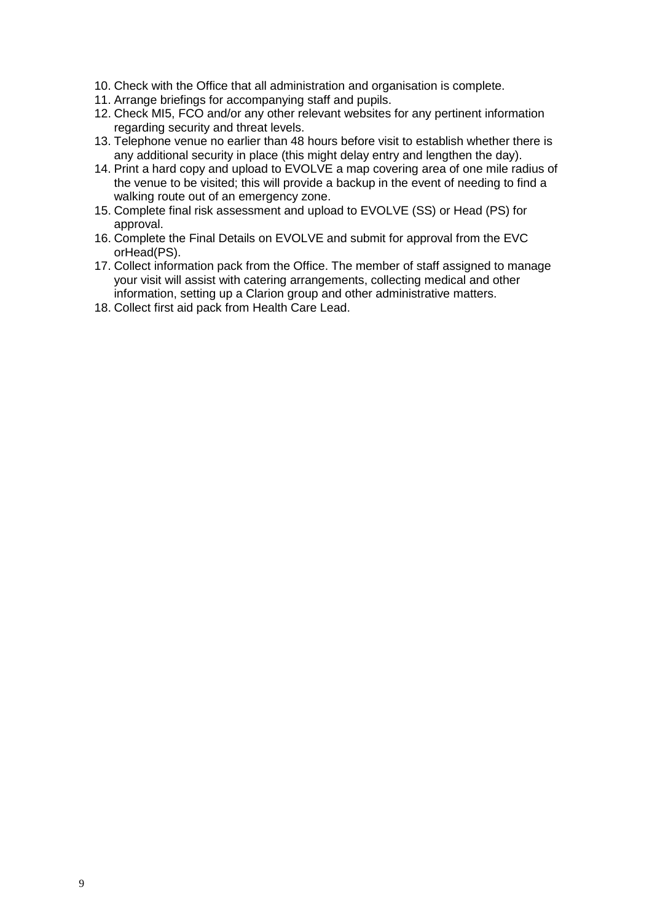- 10. Check with the Office that all administration and organisation is complete.
- 11. Arrange briefings for accompanying staff and pupils.
- 12. Check MI5, FCO and/or any other relevant websites for any pertinent information regarding security and threat levels.
- 13. Telephone venue no earlier than 48 hours before visit to establish whether there is any additional security in place (this might delay entry and lengthen the day).
- 14. Print a hard copy and upload to EVOLVE a map covering area of one mile radius of the venue to be visited; this will provide a backup in the event of needing to find a walking route out of an emergency zone.
- 15. Complete final risk assessment and upload to EVOLVE (SS) or Head (PS) for approval.
- 16. Complete the Final Details on EVOLVE and submit for approval from the EVC orHead(PS).
- 17. Collect information pack from the Office. The member of staff assigned to manage your visit will assist with catering arrangements, collecting medical and other information, setting up a Clarion group and other administrative matters.
- 18. Collect first aid pack from Health Care Lead.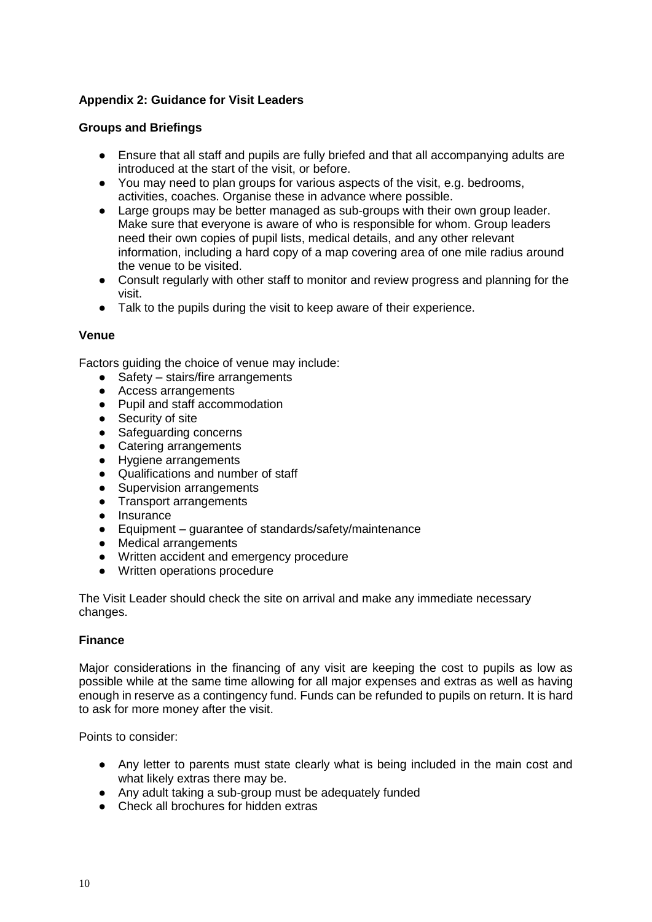# **Appendix 2: Guidance for Visit Leaders**

# **Groups and Briefings**

- Ensure that all staff and pupils are fully briefed and that all accompanying adults are introduced at the start of the visit, or before.
- You may need to plan groups for various aspects of the visit, e.g. bedrooms, activities, coaches. Organise these in advance where possible.
- Large groups may be better managed as sub-groups with their own group leader. Make sure that everyone is aware of who is responsible for whom. Group leaders need their own copies of pupil lists, medical details, and any other relevant information, including a hard copy of a map covering area of one mile radius around the venue to be visited.
- Consult regularly with other staff to monitor and review progress and planning for the visit.
- Talk to the pupils during the visit to keep aware of their experience.

### **Venue**

Factors guiding the choice of venue may include:

- Safety stairs/fire arrangements
- Access arrangements
- Pupil and staff accommodation
- Security of site
- Safeguarding concerns
- Catering arrangements
- Hygiene arrangements
- Qualifications and number of staff
- Supervision arrangements
- Transport arrangements
- Insurance
- Equipment guarantee of standards/safety/maintenance
- Medical arrangements
- Written accident and emergency procedure
- Written operations procedure

The Visit Leader should check the site on arrival and make any immediate necessary changes.

### **Finance**

Major considerations in the financing of any visit are keeping the cost to pupils as low as possible while at the same time allowing for all major expenses and extras as well as having enough in reserve as a contingency fund. Funds can be refunded to pupils on return. It is hard to ask for more money after the visit.

Points to consider:

- Any letter to parents must state clearly what is being included in the main cost and what likely extras there may be.
- Any adult taking a sub-group must be adequately funded
- Check all brochures for hidden extras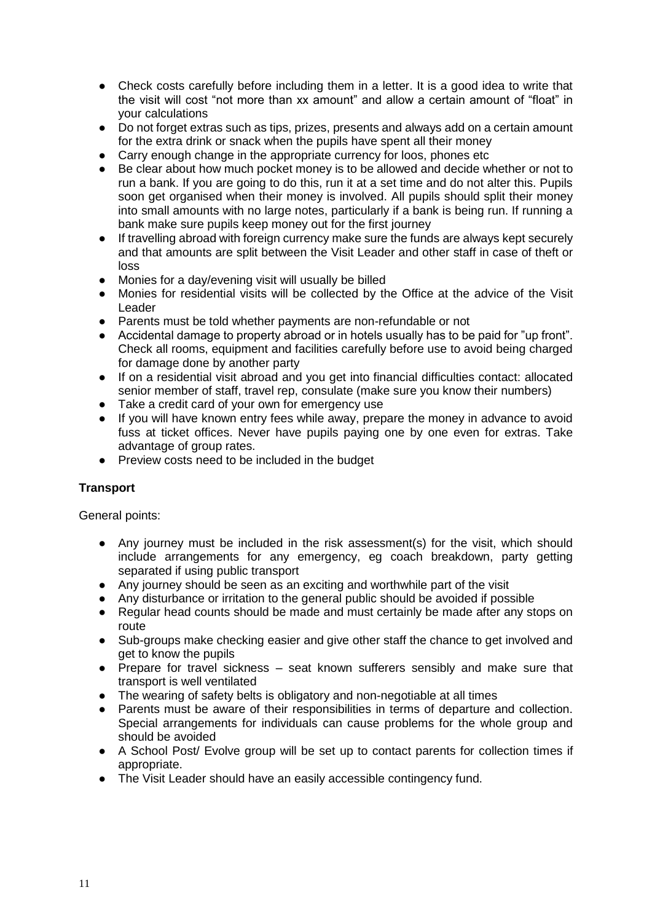- Check costs carefully before including them in a letter. It is a good idea to write that the visit will cost "not more than xx amount" and allow a certain amount of "float" in your calculations
- Do not forget extras such as tips, prizes, presents and always add on a certain amount for the extra drink or snack when the pupils have spent all their money
- Carry enough change in the appropriate currency for loos, phones etc
- Be clear about how much pocket money is to be allowed and decide whether or not to run a bank. If you are going to do this, run it at a set time and do not alter this. Pupils soon get organised when their money is involved. All pupils should split their money into small amounts with no large notes, particularly if a bank is being run. If running a bank make sure pupils keep money out for the first journey
- If travelling abroad with foreign currency make sure the funds are always kept securely and that amounts are split between the Visit Leader and other staff in case of theft or loss
- Monies for a day/evening visit will usually be billed
- Monies for residential visits will be collected by the Office at the advice of the Visit Leader
- Parents must be told whether payments are non-refundable or not
- Accidental damage to property abroad or in hotels usually has to be paid for "up front". Check all rooms, equipment and facilities carefully before use to avoid being charged for damage done by another party
- If on a residential visit abroad and you get into financial difficulties contact: allocated senior member of staff, travel rep, consulate (make sure you know their numbers)
- Take a credit card of your own for emergency use
- If you will have known entry fees while away, prepare the money in advance to avoid fuss at ticket offices. Never have pupils paying one by one even for extras. Take advantage of group rates.
- Preview costs need to be included in the budget

# **Transport**

General points:

- Any journey must be included in the risk assessment(s) for the visit, which should include arrangements for any emergency, eg coach breakdown, party getting separated if using public transport
- Any journey should be seen as an exciting and worthwhile part of the visit
- Any disturbance or irritation to the general public should be avoided if possible
- Regular head counts should be made and must certainly be made after any stops on route
- Sub-groups make checking easier and give other staff the chance to get involved and get to know the pupils
- Prepare for travel sickness seat known sufferers sensibly and make sure that transport is well ventilated
- The wearing of safety belts is obligatory and non-negotiable at all times
- Parents must be aware of their responsibilities in terms of departure and collection. Special arrangements for individuals can cause problems for the whole group and should be avoided
- A School Post/ Evolve group will be set up to contact parents for collection times if appropriate.
- The Visit Leader should have an easily accessible contingency fund.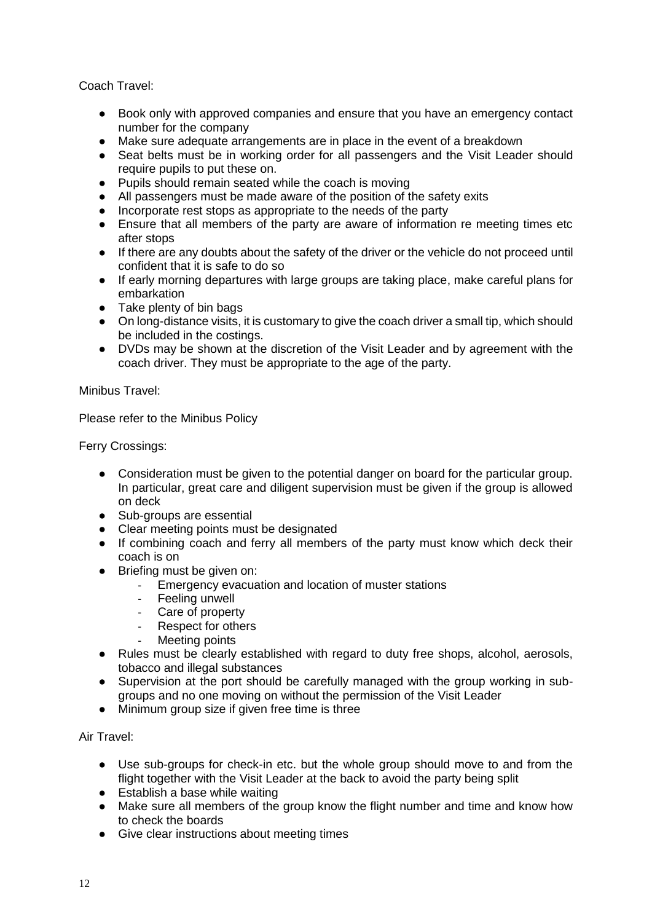Coach Travel:

- Book only with approved companies and ensure that you have an emergency contact number for the company
- Make sure adequate arrangements are in place in the event of a breakdown
- Seat belts must be in working order for all passengers and the Visit Leader should require pupils to put these on.
- Pupils should remain seated while the coach is moving
- All passengers must be made aware of the position of the safety exits
- Incorporate rest stops as appropriate to the needs of the party
- Ensure that all members of the party are aware of information re meeting times etc after stops
- If there are any doubts about the safety of the driver or the vehicle do not proceed until confident that it is safe to do so
- If early morning departures with large groups are taking place, make careful plans for embarkation
- Take plenty of bin bags
- On long-distance visits, it is customary to give the coach driver a small tip, which should be included in the costings.
- DVDs may be shown at the discretion of the Visit Leader and by agreement with the coach driver. They must be appropriate to the age of the party.

Minibus Travel:

Please refer to the Minibus Policy

Ferry Crossings:

- Consideration must be given to the potential danger on board for the particular group. In particular, great care and diligent supervision must be given if the group is allowed on deck
- Sub-groups are essential
- Clear meeting points must be designated
- If combining coach and ferry all members of the party must know which deck their coach is on
- Briefing must be given on:
	- Emergency evacuation and location of muster stations
	- Feeling unwell
	- Care of property
	- Respect for others
	- Meeting points
- Rules must be clearly established with regard to duty free shops, alcohol, aerosols, tobacco and illegal substances
- Supervision at the port should be carefully managed with the group working in subgroups and no one moving on without the permission of the Visit Leader
- Minimum group size if given free time is three

Air Travel:

- Use sub-groups for check-in etc. but the whole group should move to and from the flight together with the Visit Leader at the back to avoid the party being split
- Establish a base while waiting
- Make sure all members of the group know the flight number and time and know how to check the boards
- Give clear instructions about meeting times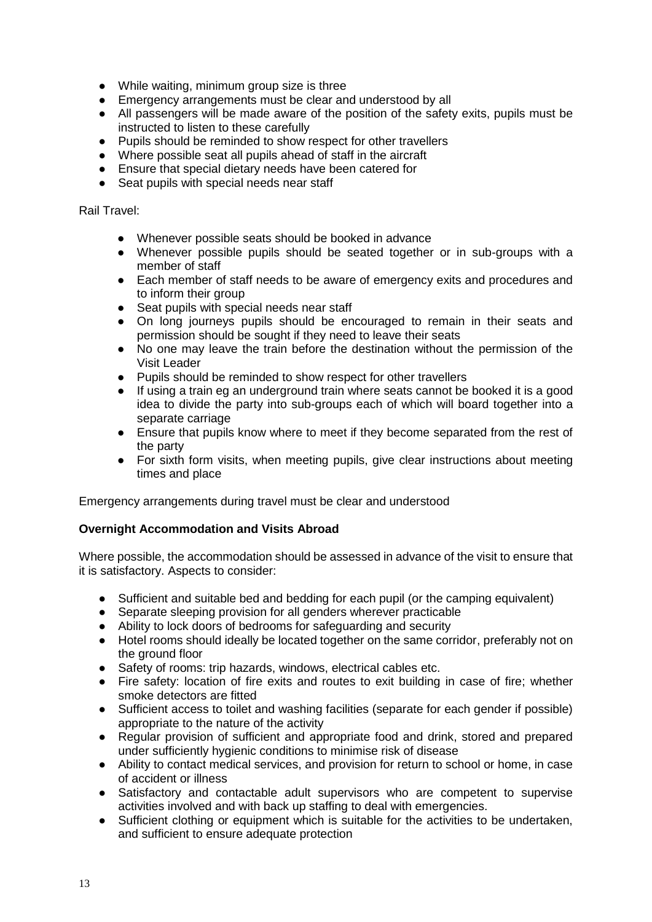- While waiting, minimum group size is three
- Emergency arrangements must be clear and understood by all
- All passengers will be made aware of the position of the safety exits, pupils must be instructed to listen to these carefully
- Pupils should be reminded to show respect for other travellers
- Where possible seat all pupils ahead of staff in the aircraft
- Ensure that special dietary needs have been catered for
- Seat pupils with special needs near staff

Rail Travel:

- Whenever possible seats should be booked in advance
- Whenever possible pupils should be seated together or in sub-groups with a member of staff
- Each member of staff needs to be aware of emergency exits and procedures and to inform their group
- Seat pupils with special needs near staff
- On long journeys pupils should be encouraged to remain in their seats and permission should be sought if they need to leave their seats
- No one may leave the train before the destination without the permission of the Visit Leader
- Pupils should be reminded to show respect for other travellers
- If using a train eg an underground train where seats cannot be booked it is a good idea to divide the party into sub-groups each of which will board together into a separate carriage
- Ensure that pupils know where to meet if they become separated from the rest of the party
- For sixth form visits, when meeting pupils, give clear instructions about meeting times and place

Emergency arrangements during travel must be clear and understood

### **Overnight Accommodation and Visits Abroad**

Where possible, the accommodation should be assessed in advance of the visit to ensure that it is satisfactory. Aspects to consider:

- Sufficient and suitable bed and bedding for each pupil (or the camping equivalent)
- Separate sleeping provision for all genders wherever practicable
- Ability to lock doors of bedrooms for safeguarding and security
- Hotel rooms should ideally be located together on the same corridor, preferably not on the ground floor
- Safety of rooms: trip hazards, windows, electrical cables etc.
- Fire safety: location of fire exits and routes to exit building in case of fire; whether smoke detectors are fitted
- Sufficient access to toilet and washing facilities (separate for each gender if possible) appropriate to the nature of the activity
- Regular provision of sufficient and appropriate food and drink, stored and prepared under sufficiently hygienic conditions to minimise risk of disease
- Ability to contact medical services, and provision for return to school or home, in case of accident or illness
- Satisfactory and contactable adult supervisors who are competent to supervise activities involved and with back up staffing to deal with emergencies.
- Sufficient clothing or equipment which is suitable for the activities to be undertaken, and sufficient to ensure adequate protection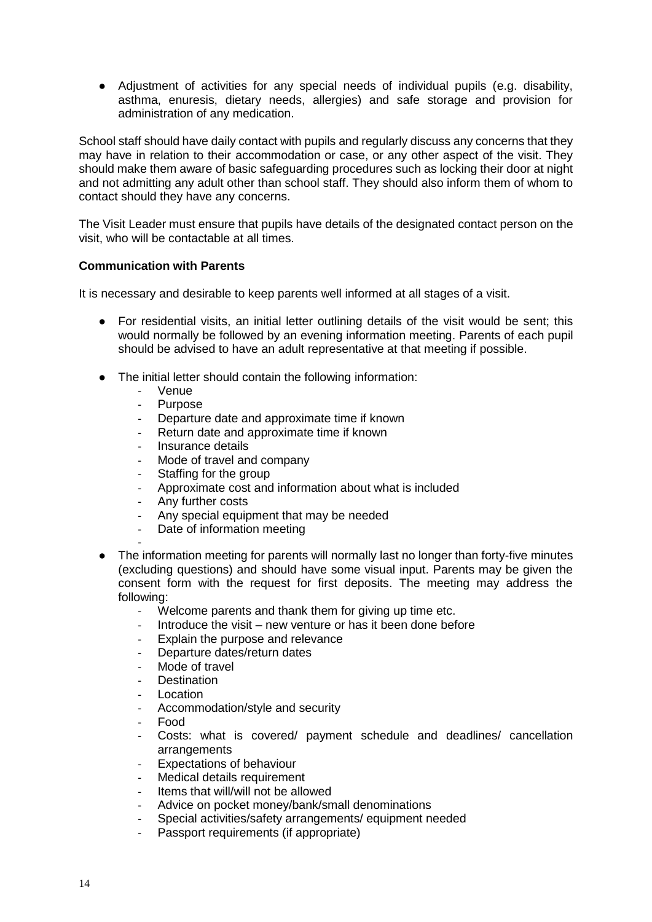● Adjustment of activities for any special needs of individual pupils (e.g. disability, asthma, enuresis, dietary needs, allergies) and safe storage and provision for administration of any medication.

School staff should have daily contact with pupils and regularly discuss any concerns that they may have in relation to their accommodation or case, or any other aspect of the visit. They should make them aware of basic safeguarding procedures such as locking their door at night and not admitting any adult other than school staff. They should also inform them of whom to contact should they have any concerns.

The Visit Leader must ensure that pupils have details of the designated contact person on the visit, who will be contactable at all times.

# **Communication with Parents**

It is necessary and desirable to keep parents well informed at all stages of a visit.

- For residential visits, an initial letter outlining details of the visit would be sent; this would normally be followed by an evening information meeting. Parents of each pupil should be advised to have an adult representative at that meeting if possible.
- The initial letter should contain the following information:
	- **Venue**
	- Purpose
	- Departure date and approximate time if known
	- Return date and approximate time if known
	- Insurance details
	- Mode of travel and company
	- Staffing for the group
	- Approximate cost and information about what is included
	- Any further costs
	- Any special equipment that may be needed
	- Date of information meeting
- ● The information meeting for parents will normally last no longer than forty-five minutes (excluding questions) and should have some visual input. Parents may be given the consent form with the request for first deposits. The meeting may address the following:
	- Welcome parents and thank them for giving up time etc.
	- Introduce the visit new venture or has it been done before
	- Explain the purpose and relevance
	- Departure dates/return dates
	- Mode of travel
	- Destination
	- **Location**
	- Accommodation/style and security
	- Food
	- Costs: what is covered/ payment schedule and deadlines/ cancellation arrangements
	- Expectations of behaviour
	- Medical details requirement
	- Items that will/will not be allowed
	- Advice on pocket money/bank/small denominations
	- Special activities/safety arrangements/ equipment needed
	- Passport requirements (if appropriate)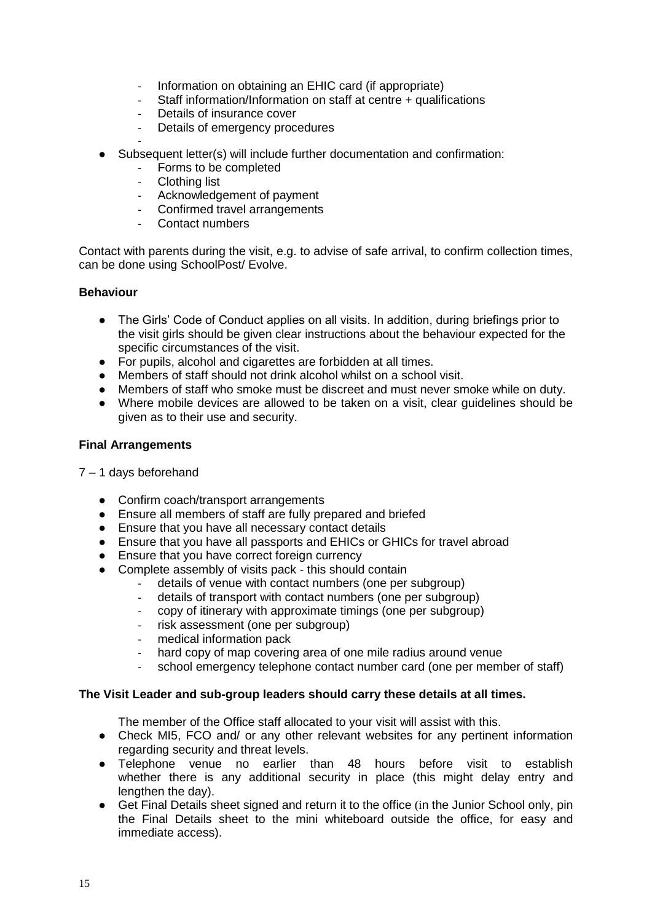- Information on obtaining an EHIC card (if appropriate)
- Staff information/Information on staff at centre + qualifications
- Details of insurance cover
- Details of emergency procedures
- Subsequent letter(s) will include further documentation and confirmation:
	- Forms to be completed
	- Clothing list
	- Acknowledgement of payment
	- Confirmed travel arrangements
	- Contact numbers

Contact with parents during the visit, e.g. to advise of safe arrival, to confirm collection times, can be done using SchoolPost/ Evolve.

# **Behaviour**

- The Girls' Code of Conduct applies on all visits. In addition, during briefings prior to the visit girls should be given clear instructions about the behaviour expected for the specific circumstances of the visit.
- For pupils, alcohol and cigarettes are forbidden at all times.
- Members of staff should not drink alcohol whilst on a school visit.
- Members of staff who smoke must be discreet and must never smoke while on duty.
- Where mobile devices are allowed to be taken on a visit, clear guidelines should be given as to their use and security.

# **Final Arrangements**

### 7 – 1 days beforehand

- Confirm coach/transport arrangements
- Ensure all members of staff are fully prepared and briefed
- Ensure that you have all necessary contact details
- Ensure that you have all passports and EHICs or GHICs for travel abroad
- Ensure that you have correct foreign currency
- Complete assembly of visits pack this should contain
	- details of venue with contact numbers (one per subgroup)
		- details of transport with contact numbers (one per subgroup)
		- copy of itinerary with approximate timings (one per subgroup)
		- risk assessment (one per subgroup)
		- medical information pack
		- hard copy of map covering area of one mile radius around venue
		- school emergency telephone contact number card (one per member of staff)

### **The Visit Leader and sub-group leaders should carry these details at all times.**

The member of the Office staff allocated to your visit will assist with this.

- Check MI5, FCO and/ or any other relevant websites for any pertinent information regarding security and threat levels.
- Telephone venue no earlier than 48 hours before visit to establish whether there is any additional security in place (this might delay entry and lengthen the day).
- Get Final Details sheet signed and return it to the office (in the Junior School only, pin the Final Details sheet to the mini whiteboard outside the office, for easy and immediate access).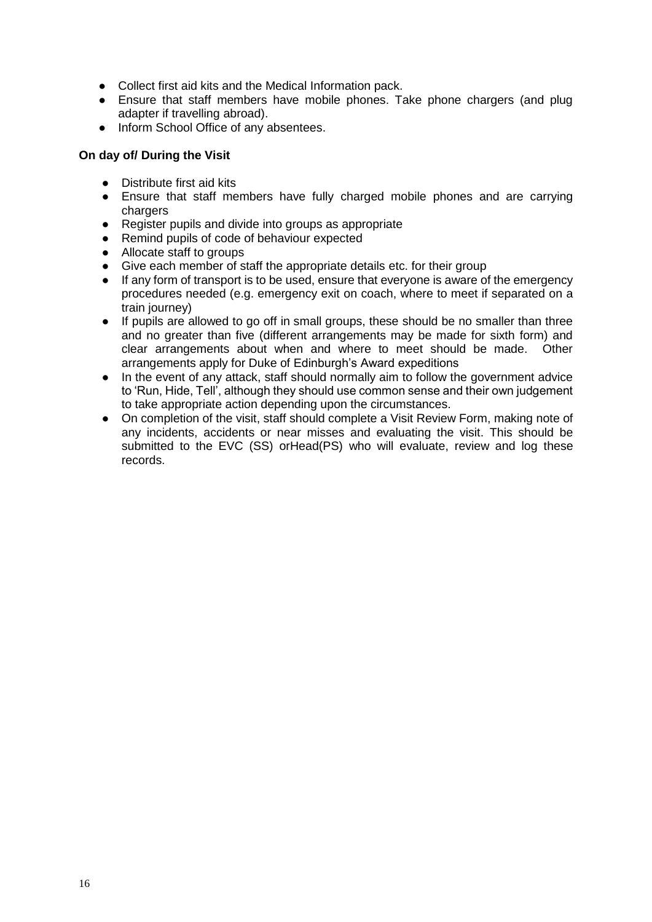- Collect first aid kits and the Medical Information pack.
- Ensure that staff members have mobile phones. Take phone chargers (and plug adapter if travelling abroad).
- Inform School Office of any absentees.

## **On day of/ During the Visit**

- Distribute first aid kits
- Ensure that staff members have fully charged mobile phones and are carrying chargers
- Register pupils and divide into groups as appropriate
- Remind pupils of code of behaviour expected
- Allocate staff to groups
- Give each member of staff the appropriate details etc. for their group
- If any form of transport is to be used, ensure that everyone is aware of the emergency procedures needed (e.g. emergency exit on coach, where to meet if separated on a train journey)
- If pupils are allowed to go off in small groups, these should be no smaller than three and no greater than five (different arrangements may be made for sixth form) and clear arrangements about when and where to meet should be made. Other arrangements apply for Duke of Edinburgh's Award expeditions
- In the event of any attack, staff should normally aim to follow the government advice to 'Run, Hide, Tell', although they should use common sense and their own judgement to take appropriate action depending upon the circumstances.
- On completion of the visit, staff should complete a Visit Review Form, making note of any incidents, accidents or near misses and evaluating the visit. This should be submitted to the EVC (SS) orHead(PS) who will evaluate, review and log these records.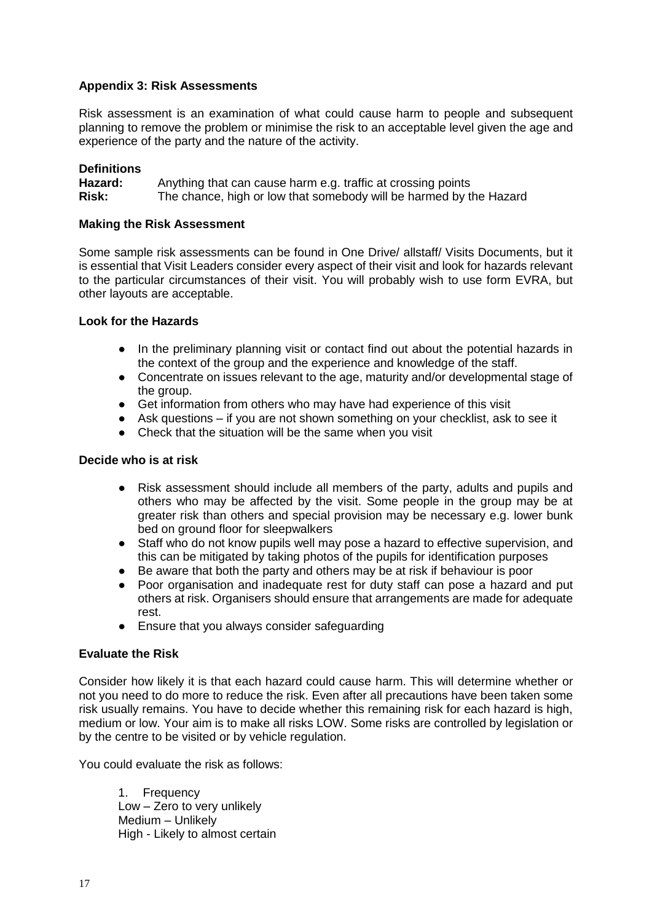## **Appendix 3: Risk Assessments**

Risk assessment is an examination of what could cause harm to people and subsequent planning to remove the problem or minimise the risk to an acceptable level given the age and experience of the party and the nature of the activity.

## **Definitions**

**Hazard:** Anything that can cause harm e.g. traffic at crossing points **Risk:** The chance, high or low that somebody will be harmed by the Hazard

### **Making the Risk Assessment**

Some sample risk assessments can be found in One Drive/ allstaff/ Visits Documents, but it is essential that Visit Leaders consider every aspect of their visit and look for hazards relevant to the particular circumstances of their visit. You will probably wish to use form EVRA, but other layouts are acceptable.

### **Look for the Hazards**

- In the preliminary planning visit or contact find out about the potential hazards in the context of the group and the experience and knowledge of the staff.
- Concentrate on issues relevant to the age, maturity and/or developmental stage of the group.
- Get information from others who may have had experience of this visit
- Ask questions if you are not shown something on your checklist, ask to see it
- Check that the situation will be the same when you visit

### **Decide who is at risk**

- Risk assessment should include all members of the party, adults and pupils and others who may be affected by the visit. Some people in the group may be at greater risk than others and special provision may be necessary e.g. lower bunk bed on ground floor for sleepwalkers
- Staff who do not know pupils well may pose a hazard to effective supervision, and this can be mitigated by taking photos of the pupils for identification purposes
- Be aware that both the party and others may be at risk if behaviour is poor
- Poor organisation and inadequate rest for duty staff can pose a hazard and put others at risk. Organisers should ensure that arrangements are made for adequate rest.
- Ensure that you always consider safeguarding

### **Evaluate the Risk**

Consider how likely it is that each hazard could cause harm. This will determine whether or not you need to do more to reduce the risk. Even after all precautions have been taken some risk usually remains. You have to decide whether this remaining risk for each hazard is high, medium or low. Your aim is to make all risks LOW. Some risks are controlled by legislation or by the centre to be visited or by vehicle regulation.

You could evaluate the risk as follows:

1. Frequency Low – Zero to very unlikely Medium – Unlikely High - Likely to almost certain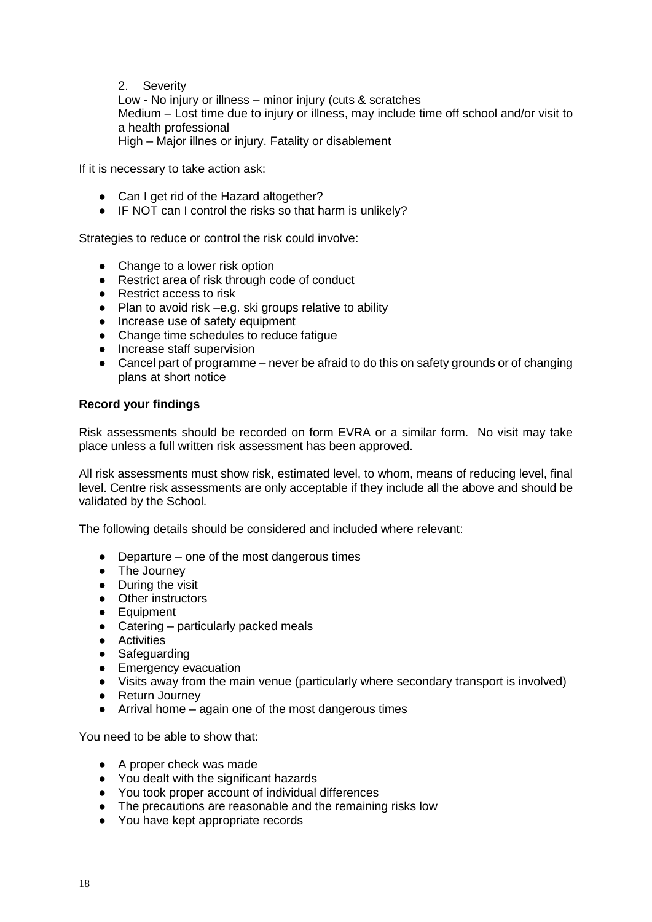# 2. Severity

Low - No injury or illness – minor injury (cuts & scratches Medium – Lost time due to injury or illness, may include time off school and/or visit to a health professional High – Major illnes or injury. Fatality or disablement

If it is necessary to take action ask:

- Can I get rid of the Hazard altogether?
- IF NOT can I control the risks so that harm is unlikely?

Strategies to reduce or control the risk could involve:

- Change to a lower risk option
- Restrict area of risk through code of conduct
- Restrict access to risk
- Plan to avoid risk –e.g. ski groups relative to ability
- Increase use of safety equipment
- Change time schedules to reduce fatigue
- Increase staff supervision
- Cancel part of programme never be afraid to do this on safety grounds or of changing plans at short notice

### **Record your findings**

Risk assessments should be recorded on form EVRA or a similar form. No visit may take place unless a full written risk assessment has been approved.

All risk assessments must show risk, estimated level, to whom, means of reducing level, final level. Centre risk assessments are only acceptable if they include all the above and should be validated by the School.

The following details should be considered and included where relevant:

- Departure one of the most dangerous times
- The Journey
- During the visit
- Other instructors
- Equipment
- Catering particularly packed meals
- Activities
- Safeguarding
- Emergency evacuation
- Visits away from the main venue (particularly where secondary transport is involved)
- Return Journey
- Arrival home again one of the most dangerous times

You need to be able to show that:

- A proper check was made
- You dealt with the significant hazards
- You took proper account of individual differences
- The precautions are reasonable and the remaining risks low
- You have kept appropriate records